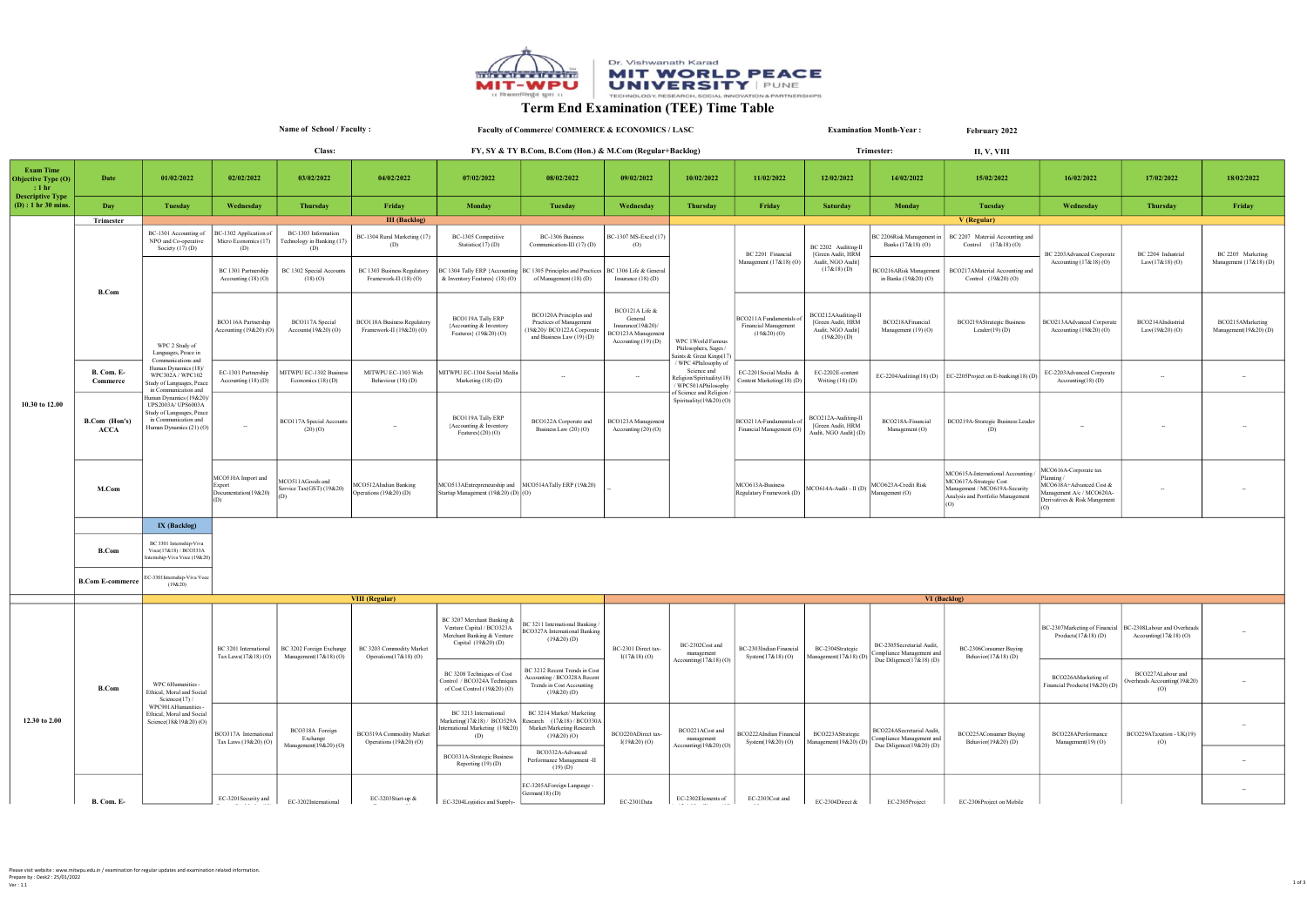

## Term End Examination (TEE) Time Table

Name of School / Faculty : Class:

Faculty of Commerce/ COMMERCE & ECONOMICS / LASC FY, SY & TY B.Com, B.Com (Hon.) & M.Com (Regular+Backlog)

February 2022 Examination Month-Year :

|                                                |                                  |                                                                                                                              |                                                                                                     | Class:                                                                    |                                                                                             |                                                                                                                             | FY, SY & TY B.Com, B.Com (Hon.) & M.Com (Regular+Backlog)                                                   |                                                                                             |                                                                                                                                                                   |                                                              |                                                                               | Trimester:                                                                                              | <b>II, V, VIII</b>                                                                                                               |                                                                                                                           |                                                          |                                             |
|------------------------------------------------|----------------------------------|------------------------------------------------------------------------------------------------------------------------------|-----------------------------------------------------------------------------------------------------|---------------------------------------------------------------------------|---------------------------------------------------------------------------------------------|-----------------------------------------------------------------------------------------------------------------------------|-------------------------------------------------------------------------------------------------------------|---------------------------------------------------------------------------------------------|-------------------------------------------------------------------------------------------------------------------------------------------------------------------|--------------------------------------------------------------|-------------------------------------------------------------------------------|---------------------------------------------------------------------------------------------------------|----------------------------------------------------------------------------------------------------------------------------------|---------------------------------------------------------------------------------------------------------------------------|----------------------------------------------------------|---------------------------------------------|
| <b>Exam Time</b><br>Objective Type (O)<br>:1hr | Date                             | 01/02/2022                                                                                                                   | 02/02/2022                                                                                          | 03/02/2022                                                                | 04/02/2022                                                                                  | 07/02/2022                                                                                                                  | 08/02/2022                                                                                                  | 09/02/2022                                                                                  | 10/02/2022                                                                                                                                                        | 11/02/2022                                                   | 12/02/2022                                                                    | 14/02/2022                                                                                              | 15/02/2022                                                                                                                       | 16/02/2022                                                                                                                | 17/02/2022                                               | 18/02/2022                                  |
| <b>Descriptive Type</b><br>(D) : 1 hr 30 mins. | Day                              | <b>Tuesday</b>                                                                                                               | Wednesday                                                                                           | Thursday                                                                  | Friday                                                                                      | Monday                                                                                                                      | Tuesday                                                                                                     | Wednesday                                                                                   | Thursday                                                                                                                                                          | Friday                                                       | <b>Saturday</b>                                                               | Monday                                                                                                  | Tuesday                                                                                                                          | Wednesday                                                                                                                 | <b>Thursday</b>                                          | Friday                                      |
|                                                | Trimester                        |                                                                                                                              |                                                                                                     |                                                                           | <b>III</b> (Backlog)                                                                        |                                                                                                                             |                                                                                                             |                                                                                             |                                                                                                                                                                   |                                                              |                                                                               |                                                                                                         | V (Regular)                                                                                                                      |                                                                                                                           |                                                          |                                             |
| 10.30 to 12.00                                 | <b>B.Com</b>                     | BC-1301 Accounting of<br>NPO and Co-operative<br>Society $(17)$ (D)                                                          | BC-1302 Application of<br>Micro Economics (17)<br>(D)                                               | BC-1303 Information<br>Technology in Banking (17)<br>(D)                  | BC-1304 Rural Marketing (17)<br>(D)                                                         | BC-1305 Competitive<br>Statistics $(17)(D)$                                                                                 | BC-1306 Business<br>Communication-III (17) (D)                                                              | BC-1307 MS-Excel (17)<br>(O)                                                                | WPC 1World Famous<br>Philosophers, Sages /<br>Saints & Great Kings(17)<br>/ WPC 4Philosophy of<br>Science and<br>Religion/Spirituality(18)<br>/ WPC501APhilosophy | BC 2201 Financial                                            | BC 2202 Auditing-II<br>[Green Audit, HRM                                      | 2206Risk Management in<br>Banks (17&18) (O)                                                             | BC 2207 Material Accounting and<br>Control $(17&818)(0)$                                                                         | BC 2203 Advanced Corporate<br>Accounting $(17&818)$ (O)                                                                   | BC 2204 Industrial<br>$Law(17&18)$ (O)                   | BC 2205 Marketing<br>Management (17&18) (D) |
|                                                |                                  |                                                                                                                              | BC 1301 Partnership<br>Accounting (18) (O)                                                          | BC 1302 Special Accounts<br>(18)(O)                                       | BC 1303 Business Regulatory<br>Framework-II (18) (O)                                        | BC 1304 Tally ERP {Accounting   BC 1305 Principles and Practices   BC 1306 Life & General<br>& Inventory Features} (18) (O) | of Management (18) (D)                                                                                      | Insurance $(18)$ (D)                                                                        |                                                                                                                                                                   | Management $(17&818)$ (O)                                    | Audit, NGO Audit]<br>$(17&18)$ (D)                                            | BCO216ARisk Management<br>in Banks (19&20) (O)                                                          | BCO217AMaterial Accounting and<br>Control (19&20)(O)                                                                             |                                                                                                                           |                                                          |                                             |
|                                                |                                  | WPC 2 Study of<br>Languages, Peace in                                                                                        | BCO116A Partnership<br>Accounting (19&20) (O)                                                       | BCO117A Special<br>Accounts(19&20)(O)                                     | <b>BCO118A Business Regulatory</b><br>Framework-II (19&20) (O)                              | BCO119A Tally ERP<br>{Accounting & Inventory<br>Features} (19&20) (O)                                                       | BCO120A Principles and<br>Practices of Management<br>19&20)/ BCO122A Corporate<br>and Business Law (19) (D) | BCO121A Life &<br>General<br>Insurance(19&20)/<br>BCO123A Management<br>Accounting (19) (D) |                                                                                                                                                                   | BCO211A Fundamentals o<br>Financial Management<br>(19&20)(O) | BCO212AAuditing-II<br>[Green Audit, HRM<br>Audit, NGO Audit]<br>$(19&20)$ (D) | BCO218AFinancial<br>Management (19)(O)                                                                  | BCO219AStrategic Business<br>Leader(19)(D)                                                                                       | BCO213AAdvanced Corporate<br>Accounting (19&20) (O)                                                                       | BCO214AIndustrial<br>Law(19&20)(O)                       | BCO215AMarketing<br>Management(19&20)(D)    |
|                                                | B. Com. E-<br>Commerce           | Communications and<br>Human Dynamics (18)/<br>WPC302A / WPC102<br>Study of Languages, Peace<br>in Communication and          | EC-1301 Partnership<br>Accounting (18) (D)                                                          | MITWPU EC-1302 Business<br>Economics $(18)$ (D)                           | MITWPU EC-1303 Web<br>Behaviour (18) (D)                                                    | MITWPU EC-1304 Social Media<br>Marketing (18) (D)                                                                           | $\sim$                                                                                                      |                                                                                             |                                                                                                                                                                   | EC-2201 Social Media &<br>Content Marketing (18) (D)         | EC-2202E-content<br>Writing $(18)$ (D)                                        |                                                                                                         | EC-2204Auditing(18) (D) EC-2205Project on E-banking(18) (D)                                                                      | EC-2203Advanced Corporate<br>Accounting( $18$ ) (D)                                                                       |                                                          |                                             |
|                                                | B.Com (Hon's)<br>ACCA            | Iuman Dynamics (19&20)<br>UPS2003A/ UPS6003A<br>Study of Languages, Peace<br>in Communication and<br>Human Dynamics (21) (O) | BCO117A Special Accounts<br>$\sim$<br>(20)(O)                                                       | <b>BCO119A Tally ERP</b><br>{Accounting & Inventory<br>Features $(20)(O)$ | BCO122A Corporate and<br>Business Law (20) (O)                                              | BCO123A Management<br>Accounting $(20)$ $(O)$                                                                               | of Science and Religion<br>Spirituality(19&20)(O)                                                           | BCO211A-Fundamentals of<br>Financial Management (O)                                         | BCO212A-Auditing-II<br>[Green Audit, HRM<br>Audit, NGO Audit] (D)                                                                                                 | BCO218A-Financial<br>Management (O)                          | BCO219A-Strategic Business Leader<br>(D)                                      |                                                                                                         |                                                                                                                                  |                                                                                                                           |                                                          |                                             |
|                                                | M.Com                            |                                                                                                                              | MCO510A Import and<br>Export<br>Documentation(19&20)                                                | MCO511AGoods and<br>Service Tax(GST) (19&20)                              | MCO512AIndian Banking<br>Operations (19&20) (D)                                             | MCO513AEntrepreneurship and MCO514ATally ERP (19&20)<br>Startup Management (19&20) (D) (O)                                  |                                                                                                             |                                                                                             |                                                                                                                                                                   | MCO613A-Business<br>Regulatary Framework (D)                 | MCO614A-Audit - II (D) MCO623A-Credit Risk<br>Management (O)                  |                                                                                                         | MCO615A-International Accounting<br>MCO617A-Strategic Cost<br>Management / MCO619A-Security<br>Analysis and Portfolio Management | MCO616A-Corporate tax<br>Planning<br>MCO618A+Advanced Cost &<br>Management A/c / MCO620A-<br>Derivatives & Risk Mangement |                                                          |                                             |
|                                                |                                  | IX (Backlog)                                                                                                                 |                                                                                                     |                                                                           |                                                                                             |                                                                                                                             |                                                                                                             |                                                                                             |                                                                                                                                                                   |                                                              |                                                                               |                                                                                                         |                                                                                                                                  |                                                                                                                           |                                                          |                                             |
|                                                | B.Com<br><b>B.Com E-commerce</b> | BC 3301 Intemship-Viva<br>Voce(17&18) / BCO333A<br>temship-Viva Voce (19&20)<br>EC-3301Internship-Viva Voce                  |                                                                                                     |                                                                           |                                                                                             |                                                                                                                             |                                                                                                             |                                                                                             |                                                                                                                                                                   |                                                              |                                                                               |                                                                                                         |                                                                                                                                  |                                                                                                                           |                                                          |                                             |
|                                                |                                  | $(198-20)$                                                                                                                   |                                                                                                     |                                                                           |                                                                                             |                                                                                                                             |                                                                                                             |                                                                                             |                                                                                                                                                                   |                                                              |                                                                               |                                                                                                         |                                                                                                                                  |                                                                                                                           |                                                          |                                             |
|                                                |                                  |                                                                                                                              |                                                                                                     |                                                                           | <b>VIII</b> (Regular)                                                                       |                                                                                                                             |                                                                                                             |                                                                                             |                                                                                                                                                                   |                                                              |                                                                               |                                                                                                         | VI (Backlog)                                                                                                                     |                                                                                                                           |                                                          |                                             |
|                                                | B.Com                            | WPC 6Humanities -<br>Ethical, Moral and Social<br>Sciences(17) /                                                             | BC 3201 International<br>Management(17&18)(O)<br>Tax Laws(17&18)(O)                                 | BC 3202 Foreign Exchange                                                  | BC 3203 Commodity Market<br>Operations $(17&818)$ (O)                                       | BC 3207 Merchant Banking &<br>Venture Capital / BCO323A<br>Merchant Banking & Venture<br>Capital (19&20)(D)                 | BC 3211 International Banking/<br><b>BCO327A</b> International Banking<br>$(19&20)$ (D)                     | BC-2301 Direct tax-<br>$I(17&18)$ (O)                                                       | BC-2302Cost and<br>management                                                                                                                                     | $\rm BC\text{-}2303$ Indian Financial<br>System(17&18)(O)    | BC-2304Strategic<br>Management(17&18)(D)                                      | BC-2305Secretarial Audit,<br>Compliance Management and<br>Behavior(17&18)(D)<br>Due Diligence(17&18)(D) | BC-2306Consumer Buying                                                                                                           | BC-2307Marketing of Financial<br>Products $(17&18)$ (D)                                                                   | BC-2308Labour and Overheads<br>Accounting( $17&18$ ) (O) |                                             |
|                                                |                                  |                                                                                                                              |                                                                                                     |                                                                           |                                                                                             | BC 3208 Techniques of Cost<br>Control / BCO324A Techniques<br>of Cost Control (19&20) (O)                                   | BC 3212 Recent Trends in Cost<br>Accounting / BCO328A Recent<br>Trends in Cost Accounting<br>$(19&20)$ (D)  |                                                                                             | Accounting(17&18)(O)                                                                                                                                              |                                                              |                                                                               |                                                                                                         |                                                                                                                                  | BCO226AMarketing of<br>Financial Products(19&20) (D)                                                                      | BCO227ALabour and<br>Overheads Accounting(19&20)<br>(0)  |                                             |
| 12.30 to 2.00                                  |                                  | WPC901AHumanities<br>Ethical, Moral and Social<br>Science(18&19&20)(O)                                                       | BCO318A Foreign<br>BCO317A Internationa<br>Exchange<br>Tax Laws (19&20) (O)<br>Management(19&20)(O) | BCO319A Commodity Market<br>Operations (19&20) (O)                        | BC 3213 International<br>Marketing(17&18) / BCO329A<br>ternational Marketing (19&20)<br>(D) | BC 3214 Market/ Marketing<br>Research (17&18) / BCO330A<br>Market/Marketing Research<br>(19&20)(O)                          | BCO220ADirect tax-<br>$I(19&20)$ (O)                                                                        | BCO221ACost and<br>management                                                               | BCO222AIndian Financial<br>System(19&20)(O)                                                                                                                       | BCO223AStrategic<br>Management(19&20)(D)                     | BCO224ASecretarial Audit.<br>Compliance Management and                        | BCO225AConsumer Buying<br>Behavior(19&20)(D)                                                            | BCO228APerformance<br>Management(19)(O)                                                                                          | BCO229ATaxation - UK(19)<br>(O)                                                                                           |                                                          |                                             |
|                                                |                                  |                                                                                                                              |                                                                                                     |                                                                           |                                                                                             | BCO331A-Strategic Business<br>Reporting (19) (D)                                                                            | BCO332A-Advanced<br>Performance Management -II<br>$(19)$ (D)                                                |                                                                                             | Accounting(19&20)(O)                                                                                                                                              |                                                              |                                                                               | Due Diligence(19&20)(D)                                                                                 |                                                                                                                                  |                                                                                                                           |                                                          |                                             |
|                                                | B. Com. E-                       |                                                                                                                              | EC-3201Security and                                                                                 | EC-3202International                                                      | EC-3203Start-up &                                                                           | EC-3204Logistics and Supply-                                                                                                | EC-3205AForeign Language -<br>German(18)(D)                                                                 | EC-2301Data                                                                                 | EC-2302Elements of                                                                                                                                                | EC-2303Cost and                                              | EC-2304Direct &                                                               | EC-2305Project                                                                                          | EC-2306Project on Mobile                                                                                                         |                                                                                                                           |                                                          |                                             |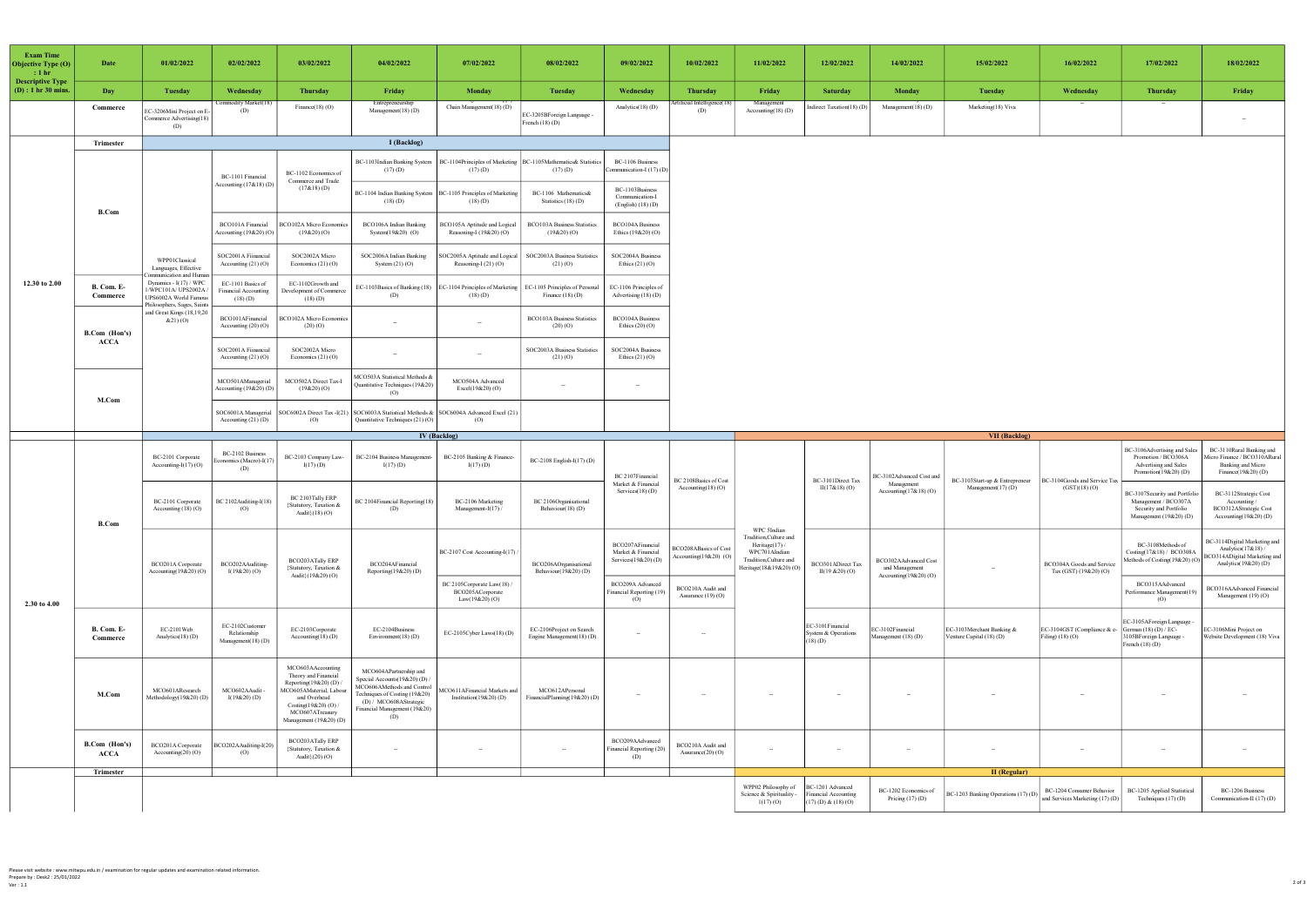| <b>Exam Time</b><br>Objective Type (O)<br>$\pm 1$ hr<br><b>Descriptive Type</b> | Date                   | 01/02/2022                                                                                   | 02/02/2022                                                  | 03/02/2022                                                                                                                                                                      | 04/02/2022                                                                                                                                                                              | 07/02/2022                                                         | 08/02/2022                                               | 09/02/2022                                                   | 10/02/2022                                        | 11/02/2022                                                                                                                 | 12/02/2022                                              | 14/02/2022                                                     | 15/02/2022                                            | 16/02/2022                                                 | 17/02/2022                                                                                                | 18/02/2022                                                                                                |
|---------------------------------------------------------------------------------|------------------------|----------------------------------------------------------------------------------------------|-------------------------------------------------------------|---------------------------------------------------------------------------------------------------------------------------------------------------------------------------------|-----------------------------------------------------------------------------------------------------------------------------------------------------------------------------------------|--------------------------------------------------------------------|----------------------------------------------------------|--------------------------------------------------------------|---------------------------------------------------|----------------------------------------------------------------------------------------------------------------------------|---------------------------------------------------------|----------------------------------------------------------------|-------------------------------------------------------|------------------------------------------------------------|-----------------------------------------------------------------------------------------------------------|-----------------------------------------------------------------------------------------------------------|
| $(D)$ : 1 hr 30 mins.                                                           | Day                    | <b>Tuesday</b>                                                                               | Wednesday                                                   | <b>Thursday</b>                                                                                                                                                                 | Friday                                                                                                                                                                                  | Monday                                                             | <b>Tuesday</b>                                           | Wednesday                                                    | <b>Thursday</b>                                   | Friday                                                                                                                     | Saturday                                                | Monday                                                         | Tuesday                                               | Wednesday                                                  | <b>Thursday</b>                                                                                           | Friday                                                                                                    |
|                                                                                 | Commerce               | EC-3206Mini Project on E<br>Commerce Advertising(18)<br>(D)                                  | dity Market(1)<br>(D)                                       | Finance(18)(O)                                                                                                                                                                  | Entrepreneurship<br>Management(18) (D)                                                                                                                                                  | Chain Management(18)(D)                                            | EC-3205BForeign Language -<br>$\text{F}$ rench $(18)(D)$ | Analytics(18)(D)                                             | cial Intelligence<br>(D)                          | Management<br>Accounting(18) (D)                                                                                           | Indirect Taxation(18) (D)                               | Management(18)(D)                                              | Marketing(18) Viva                                    |                                                            |                                                                                                           | $\sim$                                                                                                    |
|                                                                                 | Trimester              | I (Backlog)                                                                                  |                                                             |                                                                                                                                                                                 |                                                                                                                                                                                         |                                                                    |                                                          |                                                              |                                                   |                                                                                                                            |                                                         |                                                                |                                                       |                                                            |                                                                                                           |                                                                                                           |
|                                                                                 | <b>B.Com</b>           |                                                                                              | BC-1101 Financial                                           | BC-1102 Economics of                                                                                                                                                            | BC-1103Indian Banking System<br>(17)(D)                                                                                                                                                 | BC-1104Principles of Marketing<br>(17)(D)                          | BC-1105Mathematics& Statistic<br>(17)(D)                 | BC-1106 Business<br>mmunication-I (17) (D                    |                                                   |                                                                                                                            |                                                         |                                                                |                                                       |                                                            |                                                                                                           |                                                                                                           |
|                                                                                 |                        |                                                                                              | ccounting (17&18) (D)                                       | Commerce and Trade<br>$(17&18)$ (D)                                                                                                                                             | BC-1104 Indian Banking System<br>(18)(D)                                                                                                                                                | BC-1105 Principles of Marketing<br>(18)(D)                         | BC-1106 Mathematics&<br>Statistics (18) (D)              | BC-1103Business<br>Communication-I<br>(English) (18) (D)     |                                                   |                                                                                                                            |                                                         |                                                                |                                                       |                                                            |                                                                                                           |                                                                                                           |
|                                                                                 |                        |                                                                                              | BCO101A Financial<br>Accounting (19&20) (O)                 | BCO102A Micro Economic<br>$(19&20)$ (O)                                                                                                                                         | BCO106A Indian Banking<br>System(19&20) (O)                                                                                                                                             | BCO105A Aptitude and Logical<br>Reasoning-I (19&20) (O)            | <b>BCO103A Business Statistics</b><br>$(19&20)$ (O)      | <b>BCO104A Business</b><br>Ethics (19&20) (O)                |                                                   |                                                                                                                            |                                                         |                                                                |                                                       |                                                            |                                                                                                           |                                                                                                           |
|                                                                                 |                        | WPP01Classical<br>Languages, Effective                                                       | SOC2001A Fiinancial<br>Accounting (21) (O)                  | SOC2002A Micro<br>Economics (21) (O)                                                                                                                                            | SOC2006A Indian Banking<br>System (21) (O)                                                                                                                                              | OC2005A Aptitude and Logical<br>Reasoning-I (21) (O)               | SOC2003A Business Statistics<br>$(21)$ (O)               | SOC2004A Business<br>Ethics $(21)(0)$                        |                                                   |                                                                                                                            |                                                         |                                                                |                                                       |                                                            |                                                                                                           |                                                                                                           |
| 12.30 to 2.00                                                                   | B. Com. E-<br>Commerce | munication and Hun<br>Dynamics - I(17) / WPC<br>1/WPC101A/ UPS2002A<br>UPS6002A World Famous | EC-1101 Basics of<br><b>Financial Accounting</b><br>(18)(D) | EC-1102Growth and<br>Development of Commerce<br>(18)(D)                                                                                                                         | EC-1103Basics of Banking (18)<br>(D)                                                                                                                                                    | EC-1104 Principles of Marketing<br>(18)(D)                         | EC-1105 Principles of Persons<br>Finance (18) (D)        | EC-1106 Principles of<br>Advertising (18) (D)                |                                                   |                                                                                                                            |                                                         |                                                                |                                                       |                                                            |                                                                                                           |                                                                                                           |
|                                                                                 | B.Com (Hon's)          | Philosophers, Sages, Saints<br>and Great Kings (18,19,20<br>&21) (O)                         | BCO101AFinancial<br>Accounting (20) (O)                     | <b>BCO102A Micro Economics</b><br>(20)(O)                                                                                                                                       | $\sim$                                                                                                                                                                                  | $\sim$                                                             | <b>BCO103A Business Statistics</b><br>$(20)$ (O)         | <b>BCO104A Business</b><br>Ethics $(20)(O)$                  |                                                   |                                                                                                                            |                                                         |                                                                |                                                       |                                                            |                                                                                                           |                                                                                                           |
|                                                                                 | <b>ACCA</b>            |                                                                                              | SOC2001A Fiinancial<br>Accounting (21) (O)                  | SOC2002A Micro<br>Economics (21) (O)                                                                                                                                            | ×,                                                                                                                                                                                      | $\sim$                                                             | SOC2003A Business Statistics<br>(21)(0)                  | SOC2004A Business<br>Ethics $(21)(0)$                        |                                                   |                                                                                                                            |                                                         |                                                                |                                                       |                                                            |                                                                                                           |                                                                                                           |
|                                                                                 | M.Com                  |                                                                                              | MCO501AManagerial<br>Accounting (19&20) (D)                 | MCO502A Direct Tax-I<br>(19&20)(0)                                                                                                                                              | MCO503A Statistical Methods &<br>antitative Techniques (19&20)<br>(0)                                                                                                                   | MCO504A Advanced<br>Excel(19&20)(O)                                | $\sim$                                                   | $\sim$                                                       |                                                   |                                                                                                                            |                                                         |                                                                |                                                       |                                                            |                                                                                                           |                                                                                                           |
|                                                                                 |                        |                                                                                              | SOC6001A Managerial<br>Accounting (21) (D)                  | (O)                                                                                                                                                                             | SOC6002A Direct Tax -I(21) SOC6003A Statistical Methods & SOC6004A Advanced Excel (21)<br>Quantitative Techniques (21) (O)                                                              | (O)                                                                |                                                          |                                                              |                                                   |                                                                                                                            |                                                         |                                                                |                                                       |                                                            |                                                                                                           |                                                                                                           |
|                                                                                 |                        |                                                                                              |                                                             |                                                                                                                                                                                 |                                                                                                                                                                                         |                                                                    |                                                          |                                                              |                                                   |                                                                                                                            |                                                         |                                                                |                                                       |                                                            |                                                                                                           |                                                                                                           |
|                                                                                 |                        |                                                                                              |                                                             |                                                                                                                                                                                 |                                                                                                                                                                                         | <b>IV</b> (Backlog)                                                |                                                          |                                                              |                                                   |                                                                                                                            |                                                         |                                                                | VII (Backlog)                                         |                                                            | BC-3106Advertising and Sales<br>Promotion / BCO306A<br>Advertising and Sales                              |                                                                                                           |
|                                                                                 |                        | BC-2101 Corporate<br>Accounting-I(17) (O)                                                    | BC-2102 Business<br>nomics (Macro)-I(17<br>(D)              | BC-2103 Company Law-<br>I(17)(D)                                                                                                                                                | BC-2104 Business Management<br>$I(17)$ (D)                                                                                                                                              | BC-2105 Banking & Finance-<br>$I(17)$ (D)                          | BC-2108 English-I(17)(D)                                 | BC 2107Financial                                             |                                                   |                                                                                                                            |                                                         |                                                                |                                                       |                                                            | Promotion(19&20)(D)                                                                                       | BC-3110Rural Banking and<br>licro Finance / BCO310ARural<br><b>Banking and Micro</b><br>Finance(19&20)(D) |
|                                                                                 | <b>B.Com</b>           | BC-2101 Corporate<br>Accounting (18) (O)                                                     | BC 2102Auditing-I(18)<br>(O)                                | BC 2103Tally ERP<br>{Statutory, Taxation &<br>Audit $(18)(O)$                                                                                                                   | BC 2104Financial Reporting(18)<br>(D)                                                                                                                                                   | BC-2106 Marketing<br>Management-I(17)/                             | BC 2106Organisational<br>Behaviour(18) $(D)$             | Market & Financial<br>Services(18)(D)                        | BC 2108Basics of Cost<br>Accounting(18)(O)        |                                                                                                                            | BC-3101Direct Tax<br>$II(17&18)$ (O)                    | BC-3102Advanced Cost and<br>Management<br>Accounting(17&18)(O) | BC-3103Start-up & Entrepreneur<br>Management(17)(D)   | BC-3104Goods and Service Ta<br>(GST)(18)(O)                | BC-3107Security and Portfolio<br>Management / BCO307A<br>Security and Portfolio<br>Management (19&20) (D) | BC-3112Strategic Cost<br>Accounting /<br>BCO312AStrategic Cost<br>Accounting(19&20)(D)                    |
|                                                                                 |                        | BCO201A Corporate                                                                            | BCO202AAuditing-                                            | BCO203ATally ERP<br>{Statutory, Taxation &                                                                                                                                      | BCO204AFinancial                                                                                                                                                                        | BC-2107 Cost Accounting-I(17)                                      | BCO206AOrganisational                                    | BCO207AFinancial<br>Market & Financial<br>Services(19&20)(D) | BCO208ABasics of Cost<br>(O) (O) (Counting(19&20) | WPC 5Indian<br>Tradition, Culture and<br>Heritage(17)/<br>WPC701AIndian<br>Tradition, Culture and<br>Heritage(18&19&20)(O) | <b>BCO301ADirect Tax</b>                                | BCO302AAdvanced Cost<br>and Management                         |                                                       | BCO304A Goods and Service                                  | BC-3108Methods of<br>Costing(17&18) / BCO308A<br>ethods of Costing(19&20) (O)                             | C-3114Digital Marketing and<br>Analytics(17&18) /<br>CO314ADigital Marketing and<br>Analytics(19&20)(D)   |
|                                                                                 |                        | Accounting(19&20)(O)                                                                         | $I(19&20)$ (O)                                              | Audit}(19&20)(O)                                                                                                                                                                | Reporting(19&20) (D)                                                                                                                                                                    | BC 2105Corporate Law(18) /<br>BCO205ACorporate<br>$Law(19&20)$ (O) | Behaviour(19&20)(D)                                      | BCO209A Advanced<br>Financial Reporting (19)<br>(0)          | BCO210A Audit and<br>Assurance (19) (O)           |                                                                                                                            | II(19 & 20) (O)                                         | Accounting(19&20)(O)                                           |                                                       | Tax (GST) (19&20) (O)                                      | BCO315AAdvanced<br>Performance Management(19)<br>(0)                                                      | 3CO316AAdvanced Financial<br>Management (19)(O)                                                           |
| 2.30 to 4.00                                                                    | B. Com. E-<br>Commerce | EC-2101Web<br>Analytics(18)(D)                                                               | EC-2102Customer<br>Relationship<br>Management(18)(D)        | EC-2103Corporate<br>Accounting(18)(D)                                                                                                                                           | EC-2104Business<br>Environment(18)(D)                                                                                                                                                   | EC-2105Cyber Laws(18)(D)                                           | EC-2106Project on Search<br>Engine Management(18) (D)    | $\sim$                                                       | $\sim$                                            |                                                                                                                            | EC-3101Financial<br>System & Operations<br>$(18)$ $(D)$ | EC-3102Financial<br>Aanagement (18) (D)                        | EC-3103Merchant Banking &<br>Centure Capital (18) (D) | EC-3104GST (Compliance & e-<br>$\mathrm{iling}$ ) (18) (O) | EC-3105AForeign Language<br>$\text{terman}(18)(D)/EC-$<br>105BForeign Language -<br>French $(18)(D)$      | C-3106Mini Project on<br>Website Development (18) Viva                                                    |
|                                                                                 | M.Com                  | MCO601AResearch<br>Methodology(19&20)(D)                                                     | MCO602AAudit-<br>$I(19&20)$ (D)                             | MCO603AAccounting<br>Theory and Financial<br>Reporting(19&20)(D)/<br>MCO605AMaterial, Labour<br>and Overhead<br>Costing(19&20)(O)/<br>MCO607ATreasury<br>Management (19&20) (D) | MCO604APartnership and<br>Special Accounts(19&20) (D) /<br>MCO606AMethods and Control<br>Fechniques of Costing (19&20)<br>(D) / MCO608AStrategic<br>Financial Management (19&20)<br>(D) | <b>ICO611AFinancial Markets and</b><br>Institution(19&20)(D)       | MCO612APersonal<br>FinancialPlanning(19&20)(D)           | $\sim$                                                       | $\sim$                                            | $\sim$                                                                                                                     | $\sim$                                                  |                                                                |                                                       |                                                            |                                                                                                           |                                                                                                           |
|                                                                                 | B.Com (Hon's)<br>ACCA  | BCO201A Corporate<br>Accounting(20) (O)                                                      | BCO202AAuditing-I(20)<br>(O)                                | BCO203ATally ERP<br>{Statutory, Taxation &<br>Audit}(20)(O)                                                                                                                     | $\sim$                                                                                                                                                                                  | $\sim$                                                             | $\sim$                                                   | BCO209AAdvanced<br>Financial Reporting (20)<br>(D)           | BCO210A Audit and<br>Assurance(20)(O)             | $\sim$                                                                                                                     | $\sim$                                                  | $\sim$                                                         | $\sim$                                                | $\sim$                                                     | $\sim$                                                                                                    | $\sim$                                                                                                    |
|                                                                                 | Trimester              |                                                                                              |                                                             |                                                                                                                                                                                 |                                                                                                                                                                                         |                                                                    |                                                          |                                                              |                                                   |                                                                                                                            |                                                         |                                                                | II (Regular)                                          |                                                            |                                                                                                           |                                                                                                           |